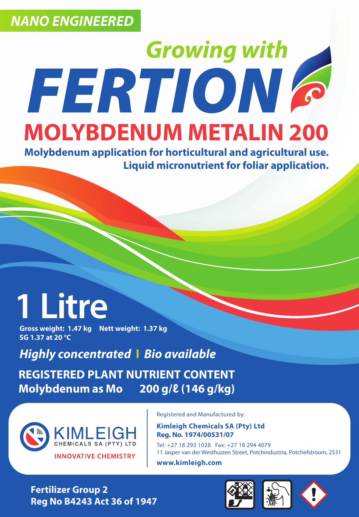# **Growing with FERTION & MOLYBDENUM METALIN 200**

**Molybdenum application for horticultural and agricultural use. Liquid micronutrient for foliar application.**

# **1 Litre**

**Gross weight: 1.47 kg Nett weight: 1.37 kg SG 1.37 at 20 °C**

*Highly concentrated* **I** *Bio available*

**REGISTERED PLANT NUTRIENT CONTENT Molybdenum as Mo 200 g/ℓ (146 g/kg)**



Registered and Manufactured by:

**Kimleigh Chemicals SA (Pty) Ltd Reg. No. 1974/00531/07**

Tel: +27 18 293 1028 Fax: +27 18 294 4079 11 Jasper van der Westhuizen Street, Potchindustria, Potchefstroom, 2531 **www.kimleigh.com** 

**Fertilizer Group 2 Reg No B4243 Act 36 of 1947**